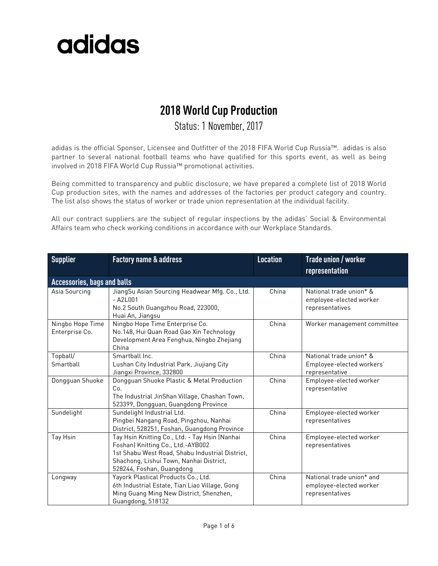#### **2018 World Cup Production**

#### Status: 1 November, 2017

adidas is the official Sponsor, Licensee and Outfitter of the 2018 FIFA World Cup Russia™. adidas is also partner to several national football teams who have qualified for this sports event, as well as being involved in 2018 FIFA World Cup Russia™ promotional activities.

Being committed to transparency and public disclosure, we have prepared a complete list of 2018 World Cup production sites, with the names and addresses of the factories per product category and country. The list also shows the status of worker or trade union representation at the individual facility.

All our contract suppliers are the subject of regular inspections by the adidas' Social & Environmental Affairs team who check working conditions in accordance with our Workplace Standards.

| <b>Supplier</b>                    | <b>Factory name &amp; address</b>                                                                                                                                                                              | <b>Location</b> | Trade union / worker<br>representation                                  |
|------------------------------------|----------------------------------------------------------------------------------------------------------------------------------------------------------------------------------------------------------------|-----------------|-------------------------------------------------------------------------|
| <b>Accessories, bags and balls</b> |                                                                                                                                                                                                                |                 |                                                                         |
| Asia Sourcing                      | JiangSu Asian Sourcing Headwear Mfg. Co., Ltd.<br>$-$ A2L001<br>No.2 South Guangzhou Road, 223000,<br>Huai An, Jiangsu                                                                                         | China           | National trade union* &<br>employee-elected worker<br>representatives   |
| Ningbo Hope Time<br>Enterprise Co. | Ningbo Hope Time Enterprise Co.<br>No.148, Hui Quan Road Gao Xin Technology<br>Development Area Fenghua, Ningbo Zhejiang<br>China                                                                              | China           | Worker management committee                                             |
| Topball/<br>Smartball              | Smartball Inc.<br>Lushan City Industrial Park, Jiujiang City<br>Jiangxi Province, 332800                                                                                                                       | China           | National trade union* &<br>Employee-elected workers'<br>representative  |
| Dongguan Shuoke                    | Dongguan Shuoke Plastic & Metal Production<br>Co.<br>The Industrial JinShan Village, Chashan Town,<br>523399, Dongguan, Guangdong Province                                                                     | China           | Employee-elected worker<br>representative                               |
| Sundelight                         | Sundelight Industrial Ltd.<br>Pingbei Nangang Road, Pingzhou, Nanhai<br>District, 528251, Foshan, Guangdong Province                                                                                           | China           | Employee-elected worker<br>representatives                              |
| Tay Hsin                           | Tay Hsin Knitting Co., Ltd. - Tay Hsin (Nanhai<br>Foshan) Knitting Co., Ltd.-AYB002<br>1st Shabu West Road, Shabu Industrial District,<br>Shachong, Lishui Town, Nanhai District,<br>528244, Foshan, Guangdong | China           | Employee-elected worker<br>representatives                              |
| Longway                            | Yayork Plastical Products Co., Ltd.<br>6th Industrial Estate, Tian Liao Village, Gong<br>Ming Guang Ming New District, Shenzhen,<br>Guangdong, 518132                                                          | China           | National trade union* and<br>employee-elected worker<br>representatives |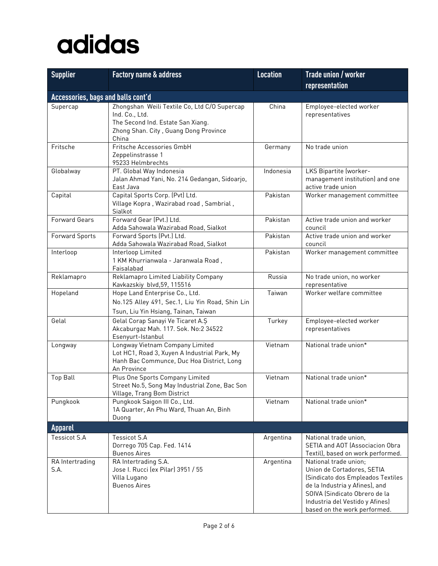| <b>Supplier</b>                    | <b>Factory name &amp; address</b>                                                                                                                     | <b>Location</b> | Trade union / worker                                                                                                                                                                                                           |
|------------------------------------|-------------------------------------------------------------------------------------------------------------------------------------------------------|-----------------|--------------------------------------------------------------------------------------------------------------------------------------------------------------------------------------------------------------------------------|
|                                    |                                                                                                                                                       |                 | representation                                                                                                                                                                                                                 |
| Accessories, bags and balls cont'd |                                                                                                                                                       |                 |                                                                                                                                                                                                                                |
| Supercap                           | Zhongshan Weili Textile Co, Ltd C/O Supercap<br>Ind. Co., Ltd.<br>The Second Ind. Estate San Xiang.<br>Zhong Shan. City, Guang Dong Province<br>China | China           | Employee-elected worker<br>representatives                                                                                                                                                                                     |
| Fritsche                           | Fritsche Accessories GmbH<br>Zeppelinstrasse 1<br>95233 Helmbrechts                                                                                   | Germany         | No trade union                                                                                                                                                                                                                 |
| Globalway                          | PT. Global Way Indonesia<br>Jalan Ahmad Yani, No. 214 Gedangan, Sidoarjo,<br>East Java                                                                | Indonesia       | LKS Bipartite (worker-<br>management institution) and one<br>active trade union                                                                                                                                                |
| Capital                            | Capital Sports Corp. (Pvt) Ltd.<br>Village Kopra, Wazirabad road, Sambrial,<br>Sialkot                                                                | Pakistan        | Worker management committee                                                                                                                                                                                                    |
| <b>Forward Gears</b>               | Forward Gear (Pvt.) Ltd.<br>Adda Sahowala Wazirabad Road, Sialkot                                                                                     | Pakistan        | Active trade union and worker<br>council                                                                                                                                                                                       |
| Forward Sports                     | Forward Sports (Pvt.) Ltd.<br>Adda Sahowala Wazirabad Road, Sialkot                                                                                   | Pakistan        | Active trade union and worker<br>council                                                                                                                                                                                       |
| Interloop                          | Interloop Limited<br>1 KM Khurrianwala - Jaranwala Road,<br>Faisalabad                                                                                | Pakistan        | Worker management committee                                                                                                                                                                                                    |
| Reklamapro                         | Reklamapro Limited Liability Company<br>Kavkazskiy blvd, 59, 115516                                                                                   | Russia          | No trade union, no worker<br>representative                                                                                                                                                                                    |
| Hopeland                           | Hope Land Enterprise Co., Ltd.<br>No.125 Alley 491, Sec.1, Liu Yin Road, Shin Lin<br>Tsun, Liu Yin Hsiang, Tainan, Taiwan                             | Taiwan          | Worker welfare committee                                                                                                                                                                                                       |
| Gelal                              | Gelal Corap Sanayi Ve Ticaret A.S<br>Akcaburgaz Mah. 117. Sok. No:2 34522<br>Esenyurt-Istanbul                                                        | Turkey          | Employee-elected worker<br>representatives                                                                                                                                                                                     |
| Longway                            | Longway Vietnam Company Limited<br>Lot HC1, Road 3, Xuyen A Industrial Park, My<br>Hanh Bac Communce, Duc Hoa District, Long<br>An Province           | Vietnam         | National trade union*                                                                                                                                                                                                          |
| <b>Top Ball</b>                    | Plus One Sports Company Limited<br>Street No.5, Song May Industrial Zone, Bac Son<br>Village, Trang Bom District                                      | Vietnam         | National trade union*                                                                                                                                                                                                          |
| Pungkook                           | Pungkook Saigon III Co., Ltd.<br>1A Quarter, An Phu Ward, Thuan An, Binh<br>Duong                                                                     | Vietnam         | National trade union*                                                                                                                                                                                                          |
| <b>Apparel</b>                     |                                                                                                                                                       |                 |                                                                                                                                                                                                                                |
| <b>Tessicot S.A</b>                | <b>Tessicot S.A</b><br>Dorrego 705 Cap. Fed. 1414<br><b>Buenos Aires</b>                                                                              | Argentina       | National trade union,<br>SETIA and AOT (Associacion Obra<br>Textil), based on work performed.                                                                                                                                  |
| RA Intertrading<br>S.A.            | RA Intertrading S.A.<br>Jose I. Rucci (ex Pilar) 3951 / 55<br>Villa Lugano<br><b>Buenos Aires</b>                                                     | Argentina       | National trade union;<br>Union de Cortadores, SETIA<br>(Sindicato dos Empleados Textiles<br>de la Industria y Afines), and<br>SOIVA (Sindicato Obrero de la<br>Industria del Vestido y Afines)<br>based on the work performed. |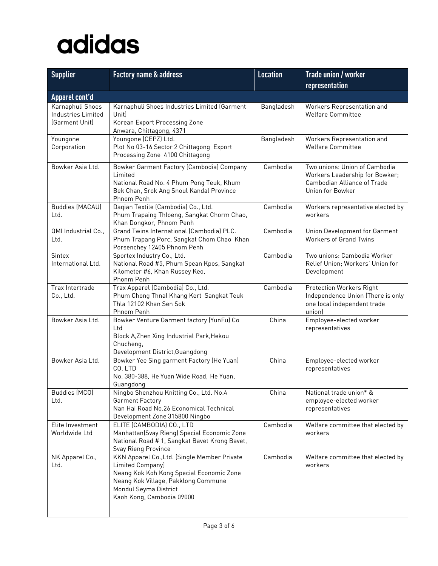| <b>Supplier</b>                                                 | <b>Factory name &amp; address</b>                                                                                                                                                                         | <b>Location</b> | Trade union / worker                                                                                                      |
|-----------------------------------------------------------------|-----------------------------------------------------------------------------------------------------------------------------------------------------------------------------------------------------------|-----------------|---------------------------------------------------------------------------------------------------------------------------|
|                                                                 |                                                                                                                                                                                                           |                 | representation                                                                                                            |
| Apparel cont'd                                                  |                                                                                                                                                                                                           |                 |                                                                                                                           |
| Karnaphuli Shoes<br><b>Industries Limited</b><br>(Garment Unit) | Karnaphuli Shoes Industries Limited (Garment<br>Unit)<br>Korean Export Processing Zone<br>Anwara, Chittagong, 4371                                                                                        | Bangladesh      | Workers Representation and<br><b>Welfare Committee</b>                                                                    |
| Youngone<br>Corporation                                         | Youngone (CEPZ) Ltd.<br>Plot No 03-16 Sector 2 Chittagong Export<br>Processing Zone 4100 Chittagong                                                                                                       | Bangladesh      | Workers Representation and<br><b>Welfare Committee</b>                                                                    |
| Bowker Asia Ltd.                                                | Bowker Garment Factory (Cambodia) Company<br>Limited<br>National Road No. 4 Phum Pong Teuk, Khum<br>Bek Chan, Srok Ang Snoul Kandal Province<br>Phnom Penh                                                | Cambodia        | Two unions: Union of Cambodia<br>Workers Leadership for Bowker;<br><b>Cambodian Alliance of Trade</b><br>Union for Bowker |
| <b>Buddies (MACAU)</b><br>Ltd.                                  | Daqian Textile (Cambodia) Co., Ltd.<br>Phum Trapaing Thloeng, Sangkat Chorm Chao,<br>Khan Dongkor, Phnom Penh                                                                                             | Cambodia        | Workers representative elected by<br>workers                                                                              |
| QMI Industrial Co.,<br>Ltd.                                     | Grand Twins International (Cambodia) PLC.<br>Phum Trapang Porc, Sangkat Chom Chao Khan<br>Porsenchey 12405 Phnom Penh                                                                                     | Cambodia        | Union Development for Garment<br><b>Workers of Grand Twins</b>                                                            |
| Sintex<br>International Ltd.                                    | Sportex Industry Co., Ltd.<br>National Road #5, Phum Spean Kpos, Sangkat<br>Kilometer #6, Khan Russey Keo,<br>Phonm Penh                                                                                  | Cambodia        | Two unions: Cambodia Worker<br>Relief Union; Workers' Union for<br>Development                                            |
| Trax Intertrade<br>Co., Ltd.                                    | Trax Apparel (Cambodia) Co., Ltd.<br>Phum Chong Thnal Khang Kert Sangkat Teuk<br>Thla 12102 Khan Sen Sok<br>Phnom Penh                                                                                    | Cambodia        | <b>Protection Workers Right</b><br>Independence Union (There is only<br>one local independent trade<br>union)             |
| Bowker Asia Ltd.                                                | Bowker Venture Garment factory (YunFu) Co<br>Ltd<br>Block A, Zhen Xing Industrial Park, Hekou<br>Chucheng,<br>Development District, Guangdong                                                             | China           | Employee-elected worker<br>representatives                                                                                |
| Bowker Asia Ltd.                                                | Bowker Yee Sing garment Factory (He Yuan)<br>CO. LTD<br>No. 380-388, He Yuan Wide Road, He Yuan,<br>Guangdong                                                                                             | China           | Employee-elected worker<br>representatives                                                                                |
| Buddies (MCO)<br>Ltd.                                           | Ningbo Shenzhou Knitting Co., Ltd. No.4<br><b>Garment Factory</b><br>Nan Hai Road No.26 Economical Technical<br>Development Zone 315800 Ningbo                                                            | China           | National trade union* &<br>employee-elected worker<br>representatives                                                     |
| Elite Investment<br>Worldwide Ltd                               | ELITE (CAMBODIA) CO., LTD<br>Manhattan(Svay Rieng) Special Economic Zone<br>National Road # 1, Sangkat Bavet Krong Bavet,<br>Svay Rieng Province                                                          | Cambodia        | Welfare committee that elected by<br>workers                                                                              |
| NK Apparel Co.,<br>Ltd.                                         | KKN Apparel Co., Ltd. (Single Member Private<br>Limited Company)<br>Neang Kok Koh Kong Special Economic Zone<br>Neang Kok Village, Pakklong Commune<br>Mondul Seyma District<br>Kaoh Kong, Cambodia 09000 | Cambodia        | Welfare committee that elected by<br>workers                                                                              |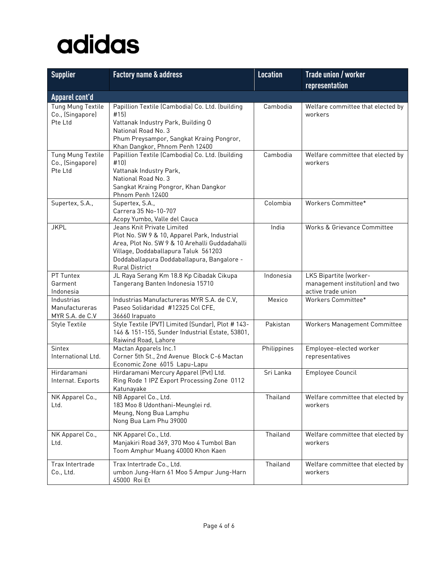| <b>Supplier</b>                                        | <b>Factory name &amp; address</b>                                                                                                                                                                                                    | <b>Location</b> | <b>Trade union / worker</b>                                                     |
|--------------------------------------------------------|--------------------------------------------------------------------------------------------------------------------------------------------------------------------------------------------------------------------------------------|-----------------|---------------------------------------------------------------------------------|
|                                                        |                                                                                                                                                                                                                                      |                 | representation                                                                  |
| Apparel cont'd                                         |                                                                                                                                                                                                                                      |                 |                                                                                 |
| Tung Mung Textile<br>Co., (Singapore)<br>Pte Ltd       | Papillion Textile (Cambodia) Co. Ltd. (building<br>#15]<br>Vattanak Industry Park, Building O<br>National Road No. 3<br>Phum Preysampor, Sangkat Kraing Pongror,<br>Khan Dangkor, Phnom Penh 12400                                   | Cambodia        | Welfare committee that elected by<br>workers                                    |
| Tung Mung Textile<br>Co., (Singapore)<br>Pte Ltd       | Papillion Textile (Cambodia) Co. Ltd. (building<br>#10]<br>Vattanak Industry Park,<br>National Road No. 3<br>Sangkat Kraing Pongror, Khan Dangkor<br>Phnom Penh 12400                                                                | Cambodia        | Welfare committee that elected by<br>workers                                    |
| Supertex, S.A.,                                        | Supertex, S.A.,<br>Carrera 35 No-10-707<br>Acopy Yumbo, Valle del Cauca                                                                                                                                                              | Colombia        | Workers Committee*                                                              |
| <b>JKPL</b>                                            | Jeans Knit Private Limited<br>Plot No. SW 9 & 10, Apparel Park, Industrial<br>Area, Plot No. SW 9 & 10 Arehalli Guddadahalli<br>Village, Doddaballapura Taluk 561203<br>Doddaballapura Doddaballapura, Bangalore -<br>Rural District | India           | Works & Grievance Committee                                                     |
| PT Tuntex<br>Garment<br>Indonesia                      | JL Raya Serang Km 18.8 Kp Cibadak Cikupa<br>Tangerang Banten Indonesia 15710                                                                                                                                                         | Indonesia       | LKS Bipartite (worker-<br>management institution) and two<br>active trade union |
| Industrias<br><b>Manufactureras</b><br>MYR S.A. de C.V | Industrias Manufactureras MYR S.A. de C.V,<br>Paseo Solidaridad #12325 Col CFE,<br>36660 Irapuato                                                                                                                                    | Mexico          | Workers Committee*                                                              |
| <b>Style Textile</b>                                   | Style Textile (PVT) Limited (Sundar), Plot # 143-<br>146 & 151-155, Sunder Industrial Estate, 53801,<br>Raiwind Road, Lahore                                                                                                         | Pakistan        | Workers Management Committee                                                    |
| Sintex<br>International Ltd.                           | Mactan Apparels Inc.1<br>Corner 5th St., 2nd Avenue Block C-6 Mactan<br>Economic Zone 6015 Lapu-Lapu                                                                                                                                 | Philippines     | Employee-elected worker<br>representatives                                      |
| Hirdaramani<br>Internat. Exports                       | Hirdaramani Mercury Apparel (Pvt) Ltd.<br>Ring Rode 1 IPZ Export Processing Zone 0112<br>Katunayake                                                                                                                                  | Sri Lanka       | Employee Council                                                                |
| NK Apparel Co.,<br>Ltd.                                | NB Apparel Co., Ltd.<br>183 Moo 8 Udonthani-Meunglei rd.<br>Meung, Nong Bua Lamphu<br>Nong Bua Lam Phu 39000                                                                                                                         | Thailand        | Welfare committee that elected by<br>workers                                    |
| NK Apparel Co.,<br>Ltd.                                | NK Apparel Co., Ltd.<br>Manjakiri Road 369, 370 Moo 4 Tumbol Ban<br>Toom Amphur Muang 40000 Khon Kaen                                                                                                                                | Thailand        | Welfare committee that elected by<br>workers                                    |
| Trax Intertrade<br>Co., Ltd.                           | Trax Intertrade Co., Ltd.<br>umbon Jung-Harn 61 Moo 5 Ampur Jung-Harn<br>45000 Roi Et                                                                                                                                                | Thailand        | Welfare committee that elected by<br>workers                                    |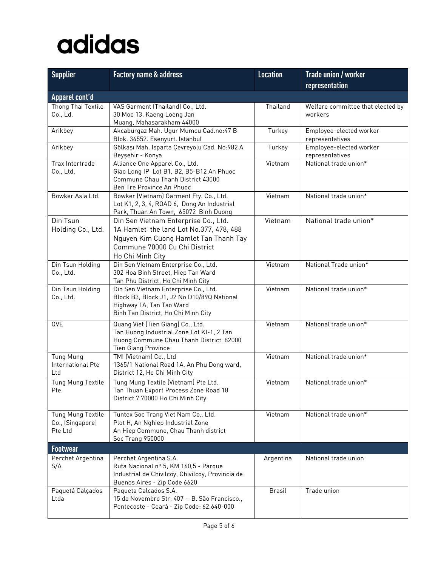| <b>Supplier</b>                                  | <b>Factory name &amp; address</b>                                                                                                                                             | <b>Location</b> | Trade union / worker                         |
|--------------------------------------------------|-------------------------------------------------------------------------------------------------------------------------------------------------------------------------------|-----------------|----------------------------------------------|
|                                                  |                                                                                                                                                                               |                 | representation                               |
| Apparel cont'd                                   |                                                                                                                                                                               |                 |                                              |
| Thong Thai Textile<br>Co., Ld.                   | VAS Garment (Thailand) Co., Ltd.<br>30 Moo 13, Kaeng Loeng Jan                                                                                                                | Thailand        | Welfare committee that elected by<br>workers |
| Arikbey                                          | Muang, Mahasarakham 44000<br>Akcaburgaz Mah. Ugur Mumcu Cad.no:47 B<br>Blok. 34552. Esenyurt. Istanbul                                                                        | Turkey          | Employee-elected worker<br>representatives   |
| Arikbey                                          | Gölkaşı Mah. Isparta Çevreyolu Cad. No:982 A<br>Beyşehir - Konya                                                                                                              | Turkey          | Employee-elected worker<br>representatives   |
| Trax Intertrade<br>Co., Ltd.                     | Alliance One Apparel Co., Ltd.<br>Giao Long IP Lot B1, B2, B5-B12 An Phuoc<br>Commune Chau Thanh District 43000<br>Ben Tre Province An Phuoc                                  | Vietnam         | National trade union*                        |
| Bowker Asia Ltd.                                 | Bowker (Vietnam) Garment Fty. Co., Ltd.<br>Lot K1, 2, 3, 4, ROAD 6, Dong An Industrial<br>Park, Thuan An Town, 65072 Binh Duong                                               | Vietnam         | National trade union*                        |
| Din Tsun<br>Holding Co., Ltd.                    | Din Sen Vietnam Enterprise Co., Ltd.<br>1A Hamlet the land Lot No.377, 478, 488<br>Nguyen Kim Cuong Hamlet Tan Thanh Tay<br>Commune 70000 Cu Chi District<br>Ho Chi Minh City | Vietnam         | National trade union*                        |
| Din Tsun Holding<br>Co., Ltd.                    | Din Sen Vietnam Enterprise Co., Ltd.<br>302 Hoa Binh Street, Hiep Tan Ward<br>Tan Phu District, Ho Chi Minh City                                                              | Vietnam         | National Trade union*                        |
| Din Tsun Holding<br>Co., Ltd.                    | Din Sen Vietnam Enterprise Co., Ltd.<br>Block B3, Block J1, J2 No D10/89Q National<br>Highway 1A, Tan Tao Ward<br>Binh Tan District, Ho Chi Minh City                         | Vietnam         | National trade union*                        |
| QVE                                              | Quang Viet (Tien Giang) Co., Ltd.<br>Tan Huong Industrial Zone Lot KI-1, 2 Tan<br>Huong Commune Chau Thanh District 82000<br><b>Tien Giang Province</b>                       | Vietnam         | National trade union*                        |
| <b>Tung Mung</b><br>International Pte<br>Ltd     | TMI (Vietnam) Co., Ltd<br>1365/1 National Road 1A, An Phu Dong ward,<br>District 12, Ho Chi Minh City                                                                         | Vietnam         | National trade union*                        |
| Tung Mung Textile<br>Pte.                        | Tung Mung Textile (Vietnam) Pte Ltd.<br>Tan Thuan Export Process Zone Road 18<br>District 7 70000 Ho Chi Minh City                                                            | Vietnam         | National trade union*                        |
| Tung Mung Textile<br>Co., (Singapore)<br>Pte Ltd | Tuntex Soc Trang Viet Nam Co., Ltd.<br>Plot H, An Nghiep Industrial Zone<br>An Hiep Commune, Chau Thanh district<br>Soc Trang 950000                                          | Vietnam         | National trade union*                        |
| <b>Footwear</b>                                  |                                                                                                                                                                               |                 |                                              |
| Perchet Argentina<br>S/A                         | Perchet Argentina S.A.<br>Ruta Nacional nº 5, KM 160,5 - Parque<br>Industrial de Chivilcoy, Chivilcoy, Provincia de<br>Buenos Aires - Zip Code 6620                           | Argentina       | National trade union                         |
| Paquetá Calçados<br>Ltda                         | Paqueta Calcados S.A.<br>15 de Novembro Str, 407 - B. São Francisco.,<br>Pentecoste - Ceará - Zip Code: 62.640-000                                                            | <b>Brasil</b>   | Trade union                                  |